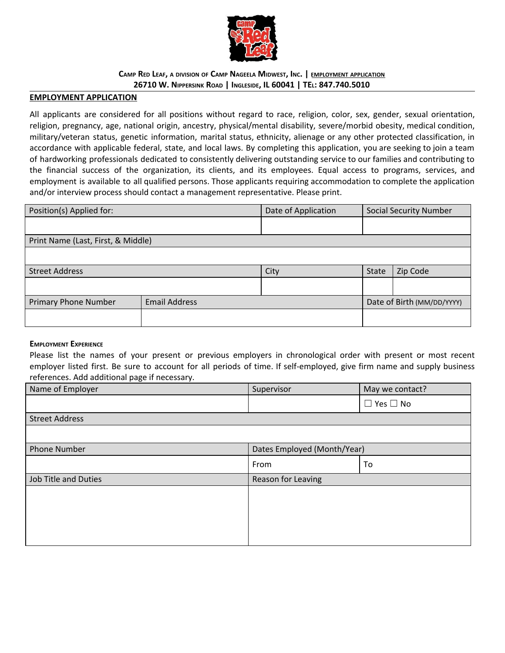

## CAMP RED LEAF, A DIVISION OF CAMP NAGEELA MIDWEST, INC. | EMPLOYMENT APPLICATION **26710 W. NIPPERSINK ROAD | INGLESIDE, IL 60041 | TEL: 847.740.5010**

### **EMPLOYMENT APPLICATION**

All applicants are considered for all positions without regard to race, religion, color, sex, gender, sexual orientation, religion, pregnancy, age, national origin, ancestry, physical/mental disability, severe/morbid obesity, medical condition, military/veteran status, genetic information, marital status, ethnicity, alienage or any other protected classification, in accordance with applicable federal, state, and local laws. By completing this application, you are seeking to join a team of hardworking professionals dedicated to consistently delivering outstanding service to our families and contributing to the financial success of the organization, its clients, and its employees. Equal access to programs, services, and employment is available to all qualified persons. Those applicants requiring accommodation to complete the application and/or interview process should contact a management representative. Please print.

| Position(s) Applied for:           | Date of Application  | <b>Social Security Number</b> |                            |  |
|------------------------------------|----------------------|-------------------------------|----------------------------|--|
|                                    |                      |                               |                            |  |
| Print Name (Last, First, & Middle) |                      |                               |                            |  |
|                                    |                      |                               |                            |  |
| <b>Street Address</b>              | City                 | <b>State</b>                  | Zip Code                   |  |
|                                    |                      |                               |                            |  |
| <b>Primary Phone Number</b>        | <b>Email Address</b> |                               | Date of Birth (MM/DD/YYYY) |  |
|                                    |                      |                               |                            |  |

### **EMPLOYMENT EXPERIENCE**

Please list the names of your present or previous employers in chronological order with present or most recent employer listed first. Be sure to account for all periods of time. If self-employed, give firm name and supply business references. Add additional page if necessary.

| Name of Employer            | Supervisor                  | May we contact?      |
|-----------------------------|-----------------------------|----------------------|
|                             |                             | $\Box$ Yes $\Box$ No |
| <b>Street Address</b>       |                             |                      |
|                             |                             |                      |
| <b>Phone Number</b>         | Dates Employed (Month/Year) |                      |
|                             | From                        | To                   |
| <b>Job Title and Duties</b> | Reason for Leaving          |                      |
|                             |                             |                      |
|                             |                             |                      |
|                             |                             |                      |
|                             |                             |                      |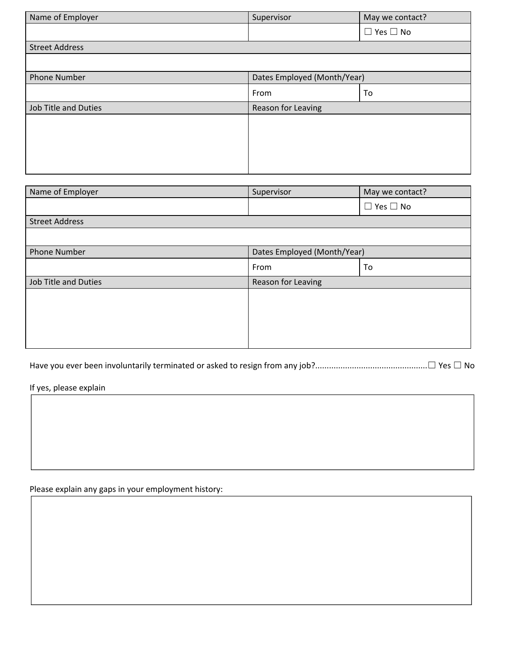| Name of Employer            | Supervisor                  | May we contact?      |
|-----------------------------|-----------------------------|----------------------|
|                             |                             | $\Box$ Yes $\Box$ No |
| <b>Street Address</b>       |                             |                      |
|                             |                             |                      |
| <b>Phone Number</b>         | Dates Employed (Month/Year) |                      |
|                             | From                        | To                   |
| <b>Job Title and Duties</b> | Reason for Leaving          |                      |
|                             |                             |                      |
|                             |                             |                      |
|                             |                             |                      |
|                             |                             |                      |

| Name of Employer            | Supervisor                  | May we contact?      |  |
|-----------------------------|-----------------------------|----------------------|--|
|                             |                             | $\Box$ Yes $\Box$ No |  |
| <b>Street Address</b>       |                             |                      |  |
|                             |                             |                      |  |
| <b>Phone Number</b>         | Dates Employed (Month/Year) |                      |  |
|                             | From                        | To                   |  |
| <b>Job Title and Duties</b> | Reason for Leaving          |                      |  |
|                             |                             |                      |  |
|                             |                             |                      |  |
|                             |                             |                      |  |
|                             |                             |                      |  |
|                             |                             |                      |  |

Have you ever been involuntarily terminated or asked to resign from any job?.................................................☐ Yes ☐ No

If yes, please explain

Please explain any gaps in your employment history: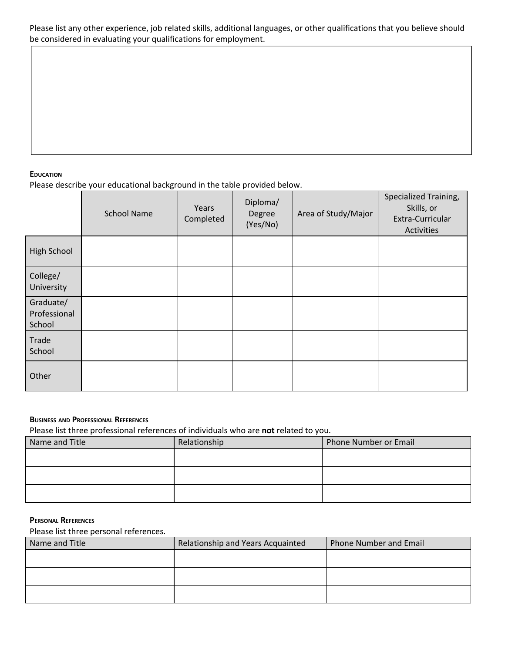Please list any other experience, job related skills, additional languages, or other qualifications that you believe should be considered in evaluating your qualifications for employment.

## **EDUCATION**

Please describe your educational background in the table provided below.

|                                     | <b>School Name</b> | Years<br>Completed | Diploma/<br>Degree<br>(Yes/No) | Area of Study/Major | Specialized Training,<br>Skills, or<br>Extra-Curricular<br>Activities |
|-------------------------------------|--------------------|--------------------|--------------------------------|---------------------|-----------------------------------------------------------------------|
| High School                         |                    |                    |                                |                     |                                                                       |
| College/<br>University              |                    |                    |                                |                     |                                                                       |
| Graduate/<br>Professional<br>School |                    |                    |                                |                     |                                                                       |
| Trade<br>School                     |                    |                    |                                |                     |                                                                       |
| Other                               |                    |                    |                                |                     |                                                                       |

## **BUSINESS AND PROFESSIONAL REFERENCES**

Please list three professional references of individuals who are **not** related to you.

| Name and Title | Relationship | Phone Number or Email |
|----------------|--------------|-----------------------|
|                |              |                       |
|                |              |                       |
|                |              |                       |
|                |              |                       |
|                |              |                       |

### **PERSONAL REFERENCES**

Please list three personal references.

| Name and Title | Relationship and Years Acquainted | Phone Number and Email |
|----------------|-----------------------------------|------------------------|
|                |                                   |                        |
|                |                                   |                        |
|                |                                   |                        |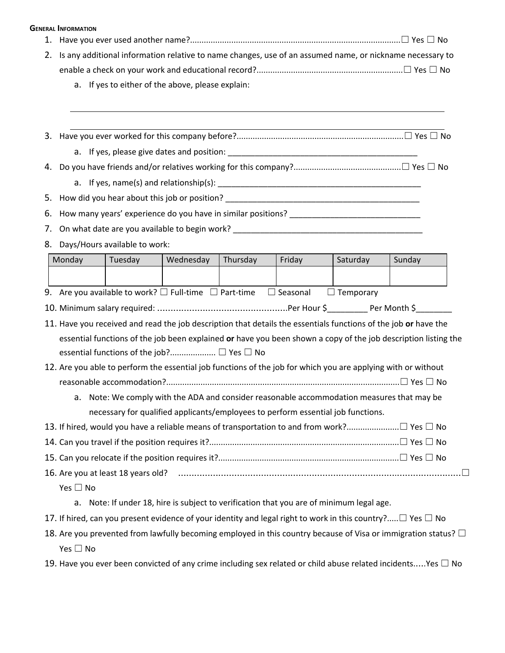#### **GENERAL INFORMATION**

| 1. |                                                                                                                       |                                                                                                                 |           |          |                    |                  |                                                                                                                |  |
|----|-----------------------------------------------------------------------------------------------------------------------|-----------------------------------------------------------------------------------------------------------------|-----------|----------|--------------------|------------------|----------------------------------------------------------------------------------------------------------------|--|
| 2. | Is any additional information relative to name changes, use of an assumed name, or nickname necessary to              |                                                                                                                 |           |          |                    |                  |                                                                                                                |  |
|    |                                                                                                                       |                                                                                                                 |           |          |                    |                  |                                                                                                                |  |
|    |                                                                                                                       | a. If yes to either of the above, please explain:                                                               |           |          |                    |                  |                                                                                                                |  |
|    |                                                                                                                       |                                                                                                                 |           |          |                    |                  |                                                                                                                |  |
|    |                                                                                                                       |                                                                                                                 |           |          |                    |                  |                                                                                                                |  |
| 3. |                                                                                                                       |                                                                                                                 |           |          |                    |                  |                                                                                                                |  |
|    |                                                                                                                       |                                                                                                                 |           |          |                    |                  |                                                                                                                |  |
| 4. |                                                                                                                       |                                                                                                                 |           |          |                    |                  |                                                                                                                |  |
|    |                                                                                                                       |                                                                                                                 |           |          |                    |                  |                                                                                                                |  |
| 5. |                                                                                                                       | How did you hear about this job or position? ___________________________________                                |           |          |                    |                  |                                                                                                                |  |
| 6. |                                                                                                                       |                                                                                                                 |           |          |                    |                  |                                                                                                                |  |
| 7. |                                                                                                                       | On what date are you available to begin work? __________________________________                                |           |          |                    |                  |                                                                                                                |  |
| 8. |                                                                                                                       | Days/Hours available to work:                                                                                   |           |          |                    |                  |                                                                                                                |  |
|    | Monday                                                                                                                | Tuesday                                                                                                         | Wednesday | Thursday | Friday             | Saturday         | Sunday                                                                                                         |  |
|    |                                                                                                                       |                                                                                                                 |           |          |                    |                  |                                                                                                                |  |
|    |                                                                                                                       | 9. Are you available to work? $\square$ Full-time $\square$ Part-time                                           |           |          | $\square$ Seasonal | $\Box$ Temporary |                                                                                                                |  |
|    |                                                                                                                       |                                                                                                                 |           |          |                    |                  |                                                                                                                |  |
|    |                                                                                                                       | 11. Have you received and read the job description that details the essentials functions of the job or have the |           |          |                    |                  |                                                                                                                |  |
|    |                                                                                                                       |                                                                                                                 |           |          |                    |                  | essential functions of the job been explained or have you been shown a copy of the job description listing the |  |
|    |                                                                                                                       |                                                                                                                 |           |          |                    |                  |                                                                                                                |  |
|    |                                                                                                                       | 12. Are you able to perform the essential job functions of the job for which you are applying with or without   |           |          |                    |                  |                                                                                                                |  |
|    |                                                                                                                       |                                                                                                                 |           |          |                    |                  |                                                                                                                |  |
|    | a. Note: We comply with the ADA and consider reasonable accommodation measures that may be                            |                                                                                                                 |           |          |                    |                  |                                                                                                                |  |
|    |                                                                                                                       | necessary for qualified applicants/employees to perform essential job functions.                                |           |          |                    |                  |                                                                                                                |  |
|    |                                                                                                                       |                                                                                                                 |           |          |                    |                  |                                                                                                                |  |
|    |                                                                                                                       |                                                                                                                 |           |          |                    |                  |                                                                                                                |  |
|    |                                                                                                                       |                                                                                                                 |           |          |                    |                  |                                                                                                                |  |
|    |                                                                                                                       |                                                                                                                 |           |          |                    |                  |                                                                                                                |  |
|    | Yes $\square$ No                                                                                                      |                                                                                                                 |           |          |                    |                  |                                                                                                                |  |
|    | Note: If under 18, hire is subject to verification that you are of minimum legal age.<br>a.                           |                                                                                                                 |           |          |                    |                  |                                                                                                                |  |
|    | 17. If hired, can you present evidence of your identity and legal right to work in this country? $\Box$ Yes $\Box$ No |                                                                                                                 |           |          |                    |                  |                                                                                                                |  |
|    | 18. Are you prevented from lawfully becoming employed in this country because of Visa or immigration status? $\Box$   |                                                                                                                 |           |          |                    |                  |                                                                                                                |  |
|    | Yes $\square$ No                                                                                                      |                                                                                                                 |           |          |                    |                  |                                                                                                                |  |

19. Have you ever been convicted of any crime including sex related or child abuse related incidents.....Yes  $\Box$  No